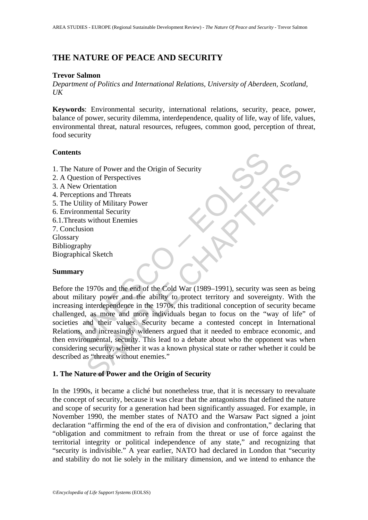# **THE NATURE OF PEACE AND SECURITY**

#### **Trevor Salmon**

*Department of Politics and International Relations, University of Aberdeen, Scotland, UK* 

**Keywords**: Environmental security, international relations, security, peace, power, balance of power, security dilemma, interdependence, quality of life, way of life, values, environmental threat, natural resources, refugees, common good, perception of threat, food security

#### **Contents**

- 1. The Nature of Power and the Origin of Security
- 2. A Question of Perspectives
- 3. A New Orientation
- 4. Perceptions and Threats
- 5. The Utility of Military Power
- 6. Environmental Security
- 6.1.Threats without Enemies
- 7. Conclusion
- Glossary
- Bibliography
- Biographical Sketch

## **Summary**

Is<br>
Nature of Power and the Origin of Security<br>
estion of Perspectives<br>
w Orientation<br>
prions and Threats<br>
Unility of Military Power<br>
commental Security<br>
erasts without Enemies<br>
lusion<br>
y<br>
maphy<br>
whical Sketch<br>
wry<br>
wry<br>
m The of Power and the Origin of Security<br>
Show of Perspectives<br>
Shoms and Threats<br>
ity of Military Power<br>
mental Security<br>
ity without Enemies<br>
ion<br>
hy<br>
al Sketch<br>
1970s and the end of the Cold War (1989–1991), security was Before the 1970s and the end of the Cold War (1989–1991), security was seen as being about military power and the ability to protect territory and sovereignty. With the increasing interdependence in the 1970s, this traditional conception of security became challenged, as more and more individuals began to focus on the "way of life" of societies and their values. Security became a contested concept in International Relations, and increasingly wideners argued that it needed to embrace economic, and then environmental, security. This lead to a debate about who the opponent was when considering security, whether it was a known physical state or rather whether it could be described as "threats without enemies."

## **1. The Nature of Power and the Origin of Security**

In the 1990s, it became a cliché but nonetheless true, that it is necessary to reevaluate the concept of security, because it was clear that the antagonisms that defined the nature and scope of security for a generation had been significantly assuaged. For example, in November 1990, the member states of NATO and the Warsaw Pact signed a joint declaration "affirming the end of the era of division and confrontation," declaring that "obligation and commitment to refrain from the threat or use of force against the territorial integrity or political independence of any state," and recognizing that "security is indivisible." A year earlier, NATO had declared in London that "security" and stability do not lie solely in the military dimension, and we intend to enhance the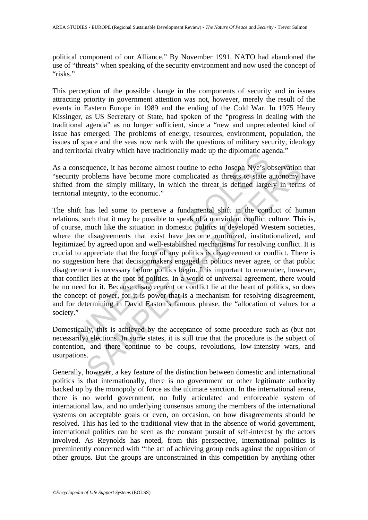political component of our Alliance." By November 1991, NATO had abandoned the use of "threats" when speaking of the security environment and now used the concept of "risks."

This perception of the possible change in the components of security and in issues attracting priority in government attention was not, however, merely the result of the events in Eastern Europe in 1989 and the ending of the Cold War. In 1975 Henry Kissinger, as US Secretary of State, had spoken of the "progress in dealing with the traditional agenda" as no longer sufficient, since a "new and unprecedented kind of issue has emerged. The problems of energy, resources, environment, population, the issues of space and the seas now rank with the questions of military security, ideology and territorial rivalry which have traditionally made up the diplomatic agenda."

As a consequence, it has become almost routine to echo Joseph Nye's observation that "security problems have become more complicated as threats to state autonomy have shifted from the simply military, in which the threat is defined largely in terms of territorial integrity, to the economic."

notial rivary winch nave traditionally made up the uppoinant age<br>nsequence, it has become almost routine to echo Joseph Nye's o<br>y problems have become more complicated as threats to state a<br>from the simply military, in whi quence, it has become almost routine to echo Joseph Nye's observation<br>roblems have become more complicated as threats to state autonomy l<br>m the simply military, in which the threat is defined largely in term<br>ttegrity, to t The shift has led some to perceive a fundamental shift in the conduct of human relations, such that it may be possible to speak of a nonviolent conflict culture. This is, of course, much like the situation in domestic politics in developed Western societies, where the disagreements that exist have become routinized, institutionalized, and legitimized by agreed upon and well-established mechanisms for resolving conflict. It is crucial to appreciate that the focus of any politics is disagreement or conflict. There is no suggestion here that decisionmakers engaged in politics never agree, or that public disagreement is necessary before politics begin. It is important to remember, however, that conflict lies at the root of politics. In a world of universal agreement, there would be no need for it. Because disagreement or conflict lie at the heart of politics, so does the concept of power, for it is power that is a mechanism for resolving disagreement, and for determining in David Easton's famous phrase, the "allocation of values for a society."

Domestically, this is achieved by the acceptance of some procedure such as (but not necessarily) elections. In some states, it is still true that the procedure is the subject of contention, and there continue to be coups, revolutions, low-intensity wars, and usurpations.

Generally, however, a key feature of the distinction between domestic and international politics is that internationally, there is no government or other legitimate authority backed up by the monopoly of force as the ultimate sanction. In the international arena, there is no world government, no fully articulated and enforceable system of international law, and no underlying consensus among the members of the international systems on acceptable goals or even, on occasion, on how disagreements should be resolved. This has led to the traditional view that in the absence of world government, international politics can be seen as the constant pursuit of self-interest by the actors involved. As Reynolds has noted, from this perspective, international politics is preeminently concerned with "the art of achieving group ends against the opposition of other groups. But the groups are unconstrained in this competition by anything other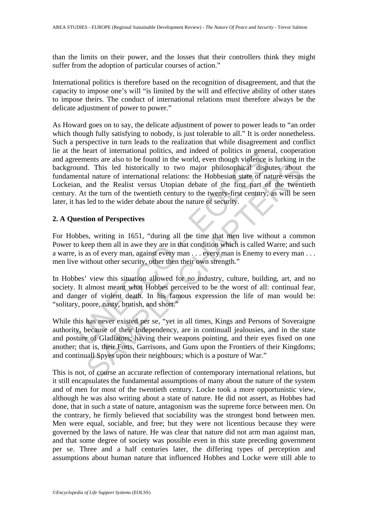than the limits on their power, and the losses that their controllers think they might suffer from the adoption of particular courses of action."

International politics is therefore based on the recognition of disagreement, and that the capacity to impose one's will "is limited by the will and effective ability of other states to impose theirs. The conduct of international relations must therefore always be the delicate adjustment of power to power."

in the mean of mentalonal pointes, and medie of points in general of their exements are also to be found in the world, even though violence is usual. This led historically to two major philosophical dispendent and the Real d. This led historically to two major philosophical disputes about<br>al nature of international relations: the Hobbesian state of nature versus<br>and the Realist versus Utopian debate of the first part of the twent<br>the turn of As Howard goes on to say, the delicate adjustment of power to power leads to "an order which though fully satisfying to nobody, is just tolerable to all." It is order nonetheless. Such a perspective in turn leads to the realization that while disagreement and conflict lie at the heart of international politics, and indeed of politics in general, cooperation and agreements are also to be found in the world, even though violence is lurking in the background. This led historically to two major philosophical disputes about the fundamental nature of international relations: the Hobbesian state of nature versus the Lockeian, and the Realist versus Utopian debate of the first part of the twentieth century. At the turn of the twentieth century to the twenty-first century, as will be seen later, it has led to the wider debate about the nature of security.

## **2. A Question of Perspectives**

For Hobbes, writing in 1651, "during all the time that men live without a common Power to keep them all in awe they are in that condition which is called Warre; and such a warre, is as of every man, against every man . . . every man is Enemy to every man . . . men live without other security, other then their own strength."

In Hobbes' view this situation allowed for no industry, culture, building, art, and no society. It almost meant what Hobbes perceived to be the worst of all: continual fear, and danger of violent death. In his famous expression the life of man would be: "solitary, poore, nasty, brutish, and short."

While this has never existed per se, "yet in all times, Kings and Persons of Soveraigne authority, because of their Independency, are in continuall jealousies, and in the state and posture of Gladiators; having their weapons pointing, and their eyes fixed on one another; that is, their Forts, Garrisons, and Guns upon the Frontiers of their Kingdoms; and continuall Spyes upon their neighbours; which is a posture of War."

This is not, of course an accurate reflection of contemporary international relations, but it still encapsulates the fundamental assumptions of many about the nature of the system and of men for most of the twentieth century. Locke took a more opportunistic view, although he was also writing about a state of nature. He did not assert, as Hobbes had done, that in such a state of nature, antagonism was the supreme force between men. On the contrary, he firmly believed that sociability was the strongest bond between men. Men were equal, sociable, and free; but they were not licentious because they were governed by the laws of nature. He was clear that nature did not arm man against man, and that some degree of society was possible even in this state preceding government per se. Three and a half centuries later, the differing types of perception and assumptions about human nature that influenced Hobbes and Locke were still able to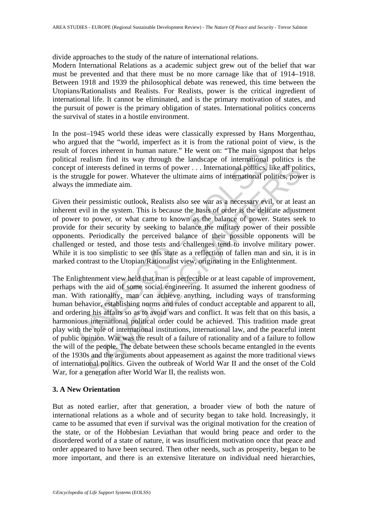divide approaches to the study of the nature of international relations.

Modern International Relations as a academic subject grew out of the belief that war must be prevented and that there must be no more carnage like that of 1914–1918. Between 1918 and 1939 the philosophical debate was renewed, this time between the Utopians/Rationalists and Realists. For Realists, power is the critical ingredient of international life. It cannot be eliminated, and is the primary motivation of states, and the pursuit of power is the primary obligation of states. International politics concerns the survival of states in a hostile environment.

In the post–1945 world these ideas were classically expressed by Hans Morgenthau, who argued that the "world, imperfect as it is from the rational point of view, is the result of forces inherent in human nature." He went on: "The main signpost that helps political realism find its way through the landscape of international politics is the concept of interests defined in terms of power . . . International politics, like all politics, is the struggle for power. Whatever the ultimate aims of international politics, power is always the immediate aim.

Given their pessimistic outlook, Realists also see war as a necessary evil, or at least an inherent evil in the system. This is because the basis of order is the delicate adjustment of power to power, or what came to known as the balance of power. States seek to provide for their security by seeking to balance the military power of their possible opponents. Periodically the perceived balance of their possible opponents will be challenged or tested, and those tests and challenges tend to involve military power. While it is too simplistic to see this state as a reflection of fallen man and sin, it is in marked contrast to the Utopian/Rationalist view, originating in the Enlightenment.

From the mundar nature. He went on. The main signal realism find its way through the landscape of international politics, I<br>ruggle for power. Whatever the ultimate aims of international politics, I<br>ruggle for power. Whate interests defined in terms of power ... International politics, like all political interests defined in terms of power ... International politics, like all political political international control. When the defined in ter The Enlightenment view held that man is perfectible or at least capable of improvement, perhaps with the aid of some social engineering. It assumed the inherent goodness of man. With rationality, man can achieve anything, including ways of transforming human behavior, establishing norms and rules of conduct acceptable and apparent to all, and ordering his affairs so as to avoid wars and conflict. It was felt that on this basis, a harmonious international political order could be achieved. This tradition made great play with the role of international institutions, international law, and the peaceful intent of public opinion. War was the result of a failure of rationality and of a failure to follow the will of the people. The debate between these schools became entangled in the events of the 1930s and the arguments about appeasement as against the more traditional views of international politics. Given the outbreak of World War II and the onset of the Cold War, for a generation after World War II, the realists won.

# **3. A New Orientation**

But as noted earlier, after that generation, a broader view of both the nature of international relations as a whole and of security began to take hold. Increasingly, it came to be assumed that even if survival was the original motivation for the creation of the state, or of the Hobbesian Leviathan that would bring peace and order to the disordered world of a state of nature, it was insufficient motivation once that peace and order appeared to have been secured. Then other needs, such as prosperity, began to be more important, and there is an extensive literature on individual need hierarchies,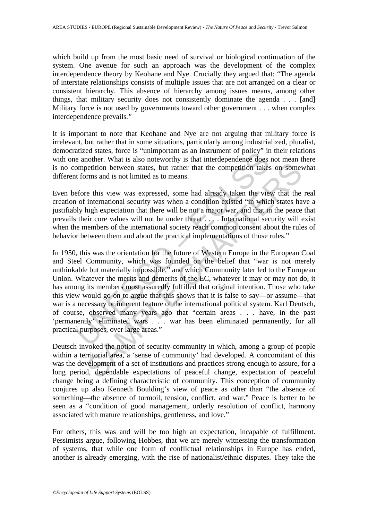which build up from the most basic need of survival or biological continuation of the system. One avenue for such an approach was the development of the complex interdependence theory by Keohane and Nye. Crucially they argued that: "The agenda of interstate relationships consists of multiple issues that are not arranged on a clear or consistent hierarchy. This absence of hierarchy among issues means, among other things, that military security does not consistently dominate the agenda . . . [and] Military force is not used by governments toward other government . . . when complex interdependence prevails*."* 

It is important to note that Keohane and Nye are not arguing that military force is irrelevant, but rather that in some situations, particularly among industrialized, pluralist, democratized states, force is "unimportant as an instrument of policy" in their relations with one another. What is also noteworthy is that interdependence does not mean there is no competition between states, but rather that the competition takes on somewhat different forms and is not limited as to means.

Even before this view was expressed, some had already taken the view that the real creation of international security was when a condition existed "in which states have a justifiably high expectation that there will be not a major war, and that in the peace that prevails their core values will not be under threat . . . . International security will exist when the members of the international society reach common consent about the rules of behavior between them and about the practical implementations of those rules."

and a start and the same than the same than the same model. The another. What is also noteworthy is that interdependence does<br>ompetition between states, but rather that the competition takes<br>ompetition between states, but petition between states, but rather that the competition takes on some<br>vertition between states, but rather that the competition takes on some<br>vrms and is not limited as to means.<br>The this view was expressed, some had alre In 1950, this was the orientation for the future of Western Europe in the European Coal and Steel Community, which was founded on the belief that "war is not merely unthinkable but materially impossible," and which Community later led to the European Union. Whatever the merits and demerits of the EC, whatever it may or may not do, it has among its members most assuredly fulfilled that original intention. Those who take this view would go on to argue that this shows that it is false to say—or assume—that war is a necessary or inherent feature of the international political system. Karl Deutsch, of course, observed many years ago that "certain areas . . . have, in the past 'permanently' eliminated wars . . . war has been eliminated permanently, for all practical purposes, over large areas."

Deutsch invoked the notion of security-community in which, among a group of people within a territorial area, a 'sense of community' had developed. A concomitant of this was the development of a set of institutions and practices strong enough to assure, for a long period, dependable expectations of peaceful change, expectation of peaceful change being a defining characteristic of community. This conception of community conjures up also Kenneth Boulding's view of peace as other than "the absence of something—the absence of turmoil, tension, conflict, and war." Peace is better to be seen as a "condition of good management, orderly resolution of conflict, harmony associated with mature relationships, gentleness, and love."

For others, this was and will be too high an expectation, incapable of fulfillment. Pessimists argue, following Hobbes, that we are merely witnessing the transformation of systems, that while one form of conflictual relationships in Europe has ended, another is already emerging, with the rise of nationalist/ethnic disputes. They take the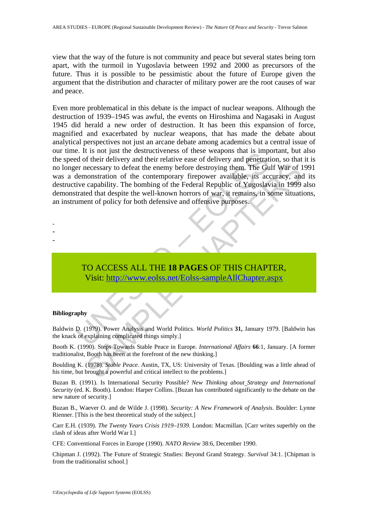view that the way of the future is not community and peace but several states being torn apart, with the turmoil in Yugoslavia between 1992 and 2000 as precursors of the future. Thus it is possible to be pessimistic about the future of Europe given the argument that the distribution and character of military power are the root causes of war and peace.

E. It is not just in ensuitable things simply.<br>
Ed of their delivery and their relative ease of delivery and penetrative<br>
er necessary to defeat the enemy before destroying them. The Gudenon<br>
transdaller, its accure capabi eccessary to defeat the enemy before destroying them. The Gulf War of 1<br>constration of the contemporary firepower available, its accuracy, and<br>capability. The bombing of the Federal Republic of Yugoslavia in 1999<br>each that Even more problematical in this debate is the impact of nuclear weapons. Although the destruction of 1939–1945 was awful, the events on Hiroshima and Nagasaki in August 1945 did herald a new order of destruction. It has been this expansion of force, magnified and exacerbated by nuclear weapons, that has made the debate about analytical perspectives not just an arcane debate among academics but a central issue of our time. It is not just the destructiveness of these weapons that is important, but also the speed of their delivery and their relative ease of delivery and penetration, so that it is no longer necessary to defeat the enemy before destroying them. The Gulf War of 1991 was a demonstration of the contemporary firepower available, its accuracy, and its destructive capability. The bombing of the Federal Republic of Yugoslavia in 1999 also demonstrated that despite the well-known horrors of war, it remains, in some situations, an instrument of policy for both defensive and offensive purposes.

- -
- -
- -

TO ACCESS ALL THE **18 PAGES** OF THIS CHAPTER, Visit: http://www.eolss.net/Eolss-sampleAllChapter.aspx

#### **Bibliography**

Baldwin D. (1979). Power Analysis and World Politics. *World Politics* **31,** January 1979. [Baldwin has the knack of explaining complicated things simply.]

Booth K. (1990). Steps Towards Stable Peace in Europe. *International Affairs* **66**:1, January. [A former traditionalist, Booth has been at the forefront of the new thinking.]

Boulding K. (1978). *Stable Peace*. Austin, TX, US: University of Texas. [Boulding was a little ahead of his time, but brought a powerful and critical intellect to the problems.]

Buzan B. (1991). Is International Security Possible? *New Thinking about Strategy and International Security* (ed. K. Booth). London: Harper Collins. [Buzan has contributed significantly to the debate on the new nature of security.]

Buzan B., Waever O. and de Wilde J. (1998). *Security: A New Framework of Analysis*. Boulder: Lynne Rienner. [This is the best theoretical study of the subject.]

Carr E.H. (1939). *The Twenty Years Crisis 1919–1939.* London: Macmillan. [Carr writes superbly on the clash of ideas after World War I.]

CFE: Conventional Forces in Europe (1990). *NATO Review* 38:6, December 1990.

Chipman J. (1992). The Future of Strategic Studies: Beyond Grand Strategy. *Survival* 34:1. [Chipman is from the traditionalist school.]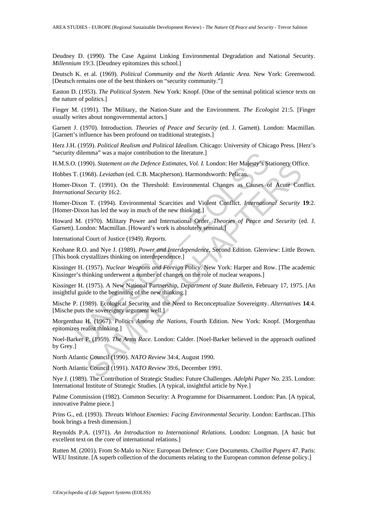Deudney D. (1990). The Case Against Linking Environmental Degradation and National Security. *Millennium* 19:3. [Deudney epitomizes this school.]

Deutsch K. et al. (1969). *Political Community and the North Atlantic Area.* New York: Greenwood. [Deutsch remains one of the best thinkers on "security community."]

Easton D. (1953). *The Political System.* New York: Knopf. [One of the seminal political science texts on the nature of politics.]

Finger M. (1991). The Military, the Nation-State and the Environment. *The Ecologist* 21:5. [Finger usually writes about nongovernmental actors.]

Garnett J. (1970). Introduction. *Theories of Peace and Security* (ed. J. Garnett). London: Macmillan. [Garnett's influence has been profound on traditional strategists.]

Herz J.H. (1959). *Political Realism and Political Idealism.* Chicago: University of Chicago Press. [Herz's "security dilemma" was a major contribution to the literature.]

H.M.S.O. (1990). *Statement on the Defence Estimates, Vol. I.* London: Her Majesty's Stationery Office.

Hobbes T. (1968). *Leviathan* (ed. C.B. Macpherson). Harmondsworth: Pelican.

dilemma" was a major contribution to the literature.]<br>
(1990). *Statement on the Defence Estimates, Vol. I.* London: Her Majesty's St.<br>
(1968). *Leviathan* (ed. C.B. Macpherson). Harmondsworth: Pelican.<br>
ixon T. (1991). On 990). *Statement on the Defence Estimates, Vol. I.* London: Her Majesty's Stationery Offices<br>968). *Leviathan* (ed. C.B. Macpherson). Harmondsworth: Pelican.<br>T. (1991). On the Threshold: Environmental Changes as Causes of Homer-Dixon T. (1991). On the Threshold: Environmental Changes as Causes of Acute Conflict. *International Security* 16:2.

Homer-Dixon T. (1994). Environmental Scarcities and Violent Conflict. *International Security* **19**:2. [Homer-Dixon has led the way in much of the new thinking.]

Howard M. (1970). Military Power and International Order. *Theories of Peace and Security* (ed. J. Garnett). London: Macmillan. [Howard's work is absolutely seminal.]

International Court of Justice (1949). *Reports.*

Keohane R.O. and Nye J. (1989). *Power and Interdependence*, Second Edition. Glenview: Little Brown. [This book crystallizes thinking on interdependence.]

Kissinger H. (1957). *Nuclear Weapons and Foreign Policy.* New York: Harper and Row. [The academic Kissinger's thinking underwent a number of changes on the role of nuclear weapons.]

Kissinger H. (1975). A New National Partnership, *Department of State Bulletin*, February 17, 1975. [An insightful guide to the beginning of the new thinking.]

Mische P. (1989). Ecological Security and the Need to Reconceptualize Sovereignty. *Alternatives* **14**:4. [Mische puts the sovereignty argument well.]

Morgenthau H. (1967). *Politics Among the Nations*, Fourth Edition*.* New York: Knopf. [Morgenthau epitomizes realist thinking.]

Noel-Barker P. (1959). *The Arms Race.* London: Calder. [Noel-Barker believed in the approach outlined by Grey.]

North Atlantic Council (1990). *NATO Review* 34:4, August 1990.

North Atlantic Council (1991). *NATO Review* 39:6, December 1991.

Nye J. (1989). The Contribution of Strategic Studies: Future Challenges. *Adelphi Paper* No. 235. London: International Institute of Strategic Studies. [A typical, insightful article by Nye.]

Palme Commission (1982). Common Security: A Programme for Disarmament. London: Pan. [A typical, innovative Palme piece.]

Prins G., ed. (1993). *Threats Without Enemies: Facing Environmental Security.* London: Earthscan. [This book brings a fresh dimension.]

Reynolds P.A. (1971). *An Introduction to International Relations.* London: Longman. [A basic but excellent text on the core of international relations.]

Rutten M. (2001). From St-Malo to Nice: European Defence: Core Documents. *Chaillot Papers* 47. Paris: WEU Institute. [A superb collection of the documents relating to the European common defense policy.]